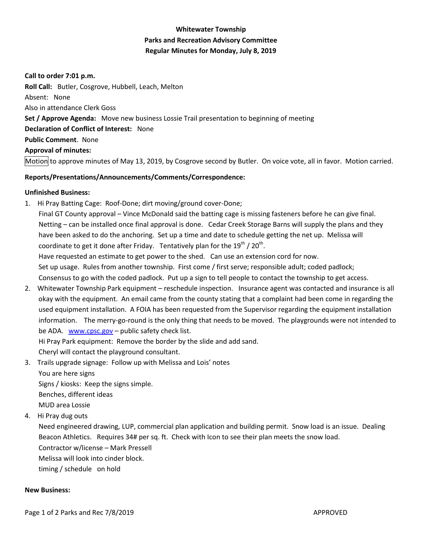# **Whitewater Township Parks and Recreation Advisory Committee Regular Minutes for Monday, July 8, 2019**

#### **Call to order 7:01 p.m.**

**Roll Call:** Butler, Cosgrove, Hubbell, Leach, Melton Absent: None Also in attendance Clerk Goss **Set / Approve Agenda:** Move new business Lossie Trail presentation to beginning of meeting **Declaration of Conflict of Interest:** None **Public Comment**. None **Approval of minutes:** Motion to approve minutes of May 13, 2019, by Cosgrove second by Butler. On voice vote, all in favor. Motion carried.

# **Reports/Presentations/Announcements/Comments/Correspondence:**

## **Unfinished Business:**

1. Hi Pray Batting Cage: Roof-Done; dirt moving/ground cover-Done;

 Final GT County approval – Vince McDonald said the batting cage is missing fasteners before he can give final. Netting – can be installed once final approval is done. Cedar Creek Storage Barns will supply the plans and they have been asked to do the anchoring. Set up a time and date to schedule getting the net up. Melissa will coordinate to get it done after Friday. Tentatively plan for the 19<sup>th</sup> / 20<sup>th</sup>.

Have requested an estimate to get power to the shed. Can use an extension cord for now.

Set up usage. Rules from another township. First come / first serve; responsible adult; coded padlock;

Consensus to go with the coded padlock. Put up a sign to tell people to contact the township to get access.

2. Whitewater Township Park equipment – reschedule inspection. Insurance agent was contacted and insurance is all okay with the equipment. An email came from the county stating that a complaint had been come in regarding the used equipment installation. A FOIA has been requested from the Supervisor regarding the equipment installation information. The merry-go-round is the only thing that needs to be moved. The playgrounds were not intended to be ADA. [www.cpsc.gov](http://www.cpsc.gov/) – public safety check list.

Hi Pray Park equipment: Remove the border by the slide and add sand.

Cheryl will contact the playground consultant.

3. Trails upgrade signage: Follow up with Melissa and Lois' notes

You are here signs

 Signs / kiosks: Keep the signs simple. Benches, different ideas

MUD area Lossie

4. Hi Pray dug outs

 Need engineered drawing, LUP, commercial plan application and building permit. Snow load is an issue. Dealing Beacon Athletics. Requires 34# per sq. ft. Check with Icon to see their plan meets the snow load.

Contractor w/license – Mark Pressell

Melissa will look into cinder block.

timing / schedule on hold

## **New Business:**